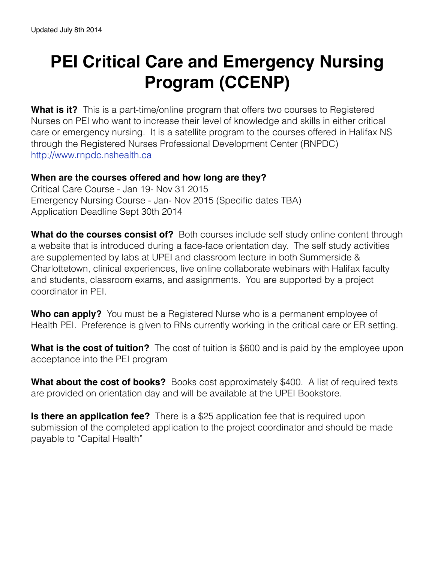## **PEI Critical Care and Emergency Nursing Program (CCENP)**

**What is it?** This is a part-time/online program that offers two courses to Registered Nurses on PEI who want to increase their level of knowledge and skills in either critical care or emergency nursing. It is a satellite program to the courses offered in Halifax NS through the Registered Nurses Professional Development Center (RNPDC) <http://www.rnpdc.nshealth.ca>

## **When are the courses offered and how long are they?**

Critical Care Course - Jan 19- Nov 31 2015 Emergency Nursing Course - Jan- Nov 2015 (Specific dates TBA) Application Deadline Sept 30th 2014

**What do the courses consist of?** Both courses include self study online content through a website that is introduced during a face-face orientation day. The self study activities are supplemented by labs at UPEI and classroom lecture in both Summerside & Charlottetown, clinical experiences, live online collaborate webinars with Halifax faculty and students, classroom exams, and assignments. You are supported by a project coordinator in PEI.

**Who can apply?** You must be a Registered Nurse who is a permanent employee of Health PEI. Preference is given to RNs currently working in the critical care or ER setting.

**What is the cost of tuition?** The cost of tuition is \$600 and is paid by the employee upon acceptance into the PEI program

**What about the cost of books?** Books cost approximately \$400. A list of required texts are provided on orientation day and will be available at the UPEI Bookstore.

**Is there an application fee?** There is a \$25 application fee that is required upon submission of the completed application to the project coordinator and should be made payable to "Capital Health"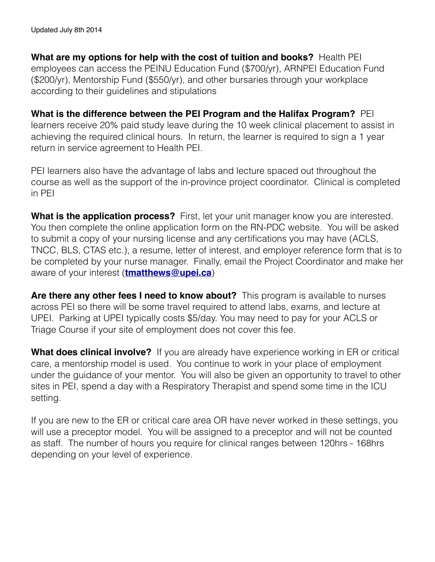**What are my options for help with the cost of tuition and books?** Health PEI employees can access the PEINU Education Fund (\$700/yr), ARNPEI Education Fund (\$200/yr), Mentorship Fund (\$550/yr), and other bursaries through your workplace according to their guidelines and stipulations

**What is the difference between the PEI Program and the Halifax Program?** PEI learners receive 20% paid study leave during the 10 week clinical placement to assist in achieving the required clinical hours. In return, the learner is required to sign a 1 year return in service agreement to Health PEI.

PEI learners also have the advantage of labs and lecture spaced out throughout the course as well as the support of the in-province project coordinator. Clinical is completed in PEI

**What is the application process?** First, let your unit manager know you are interested. You then complete the online application form on the RN-PDC website. You will be asked to submit a copy of your nursing license and any certifications you may have (ACLS, TNCC, BLS, CTAS etc.), a resume, letter of interest, and employer reference form that is to be completed by your nurse manager. Finally, email the Project Coordinator and make her aware of your interest (**[tmatthews@upei.ca](mailto:tmatthews@upei.ca)**)

**Are there any other fees I need to know about?** This program is available to nurses across PEI so there will be some travel required to attend labs, exams, and lecture at UPEI. Parking at UPEI typically costs \$5/day. You may need to pay for your ACLS or Triage Course if your site of employment does not cover this fee.

**What does clinical involve?** If you are already have experience working in ER or critical care, a mentorship model is used. You continue to work in your place of employment under the guidance of your mentor. You will also be given an opportunity to travel to other sites in PEI, spend a day with a Respiratory Therapist and spend some time in the ICU setting.

If you are new to the ER or critical care area OR have never worked in these settings, you will use a preceptor model. You will be assigned to a preceptor and will not be counted as staff. The number of hours you require for clinical ranges between 120hrs - 168hrs depending on your level of experience.